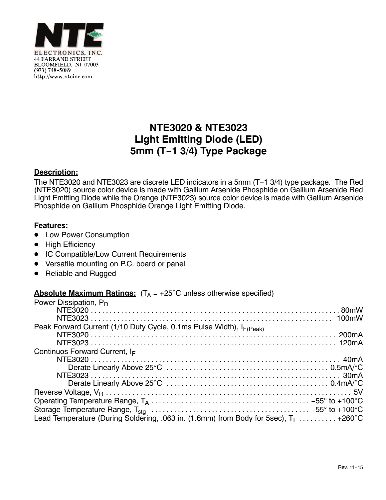

## **NTE3020 & NTE3023 Light Emitting Diode (LED) 5mm (T−1 3/4) Type Package**

## **Description:**

The NTE3020 and NTE3023 are discrete LED indicators in a 5mm (T−1 3/4) type package. The Red (NTE3020) source color device is made with Gallium Arsenide Phosphide on Gallium Arsenide Red Light Emitting Diode while the Orange (NTE3023) source color device is made with Gallium Arsenide Phosphide on Gallium Phosphide Orange Light Emitting Diode.

## **Features:**

- **•** Low Power Consumption
- High Efficiency
- IC Compatible/Low Current Requirements
- Versatile mounting on P.C. board or panel
- $\bullet$ Reliable and Rugged

## **Absolute Maximum Ratings:**  $(T_A = +25^{\circ}C$  unless otherwise specified)

| Power Dissipation, $P_D$                                                               |
|----------------------------------------------------------------------------------------|
|                                                                                        |
|                                                                                        |
|                                                                                        |
|                                                                                        |
|                                                                                        |
| Continuos Forward Current, IF                                                          |
|                                                                                        |
|                                                                                        |
|                                                                                        |
|                                                                                        |
|                                                                                        |
|                                                                                        |
|                                                                                        |
| Lead Temperature (During Soldering, .063 in. (1.6mm) from Body for 5sec), $T_1$ +260°C |